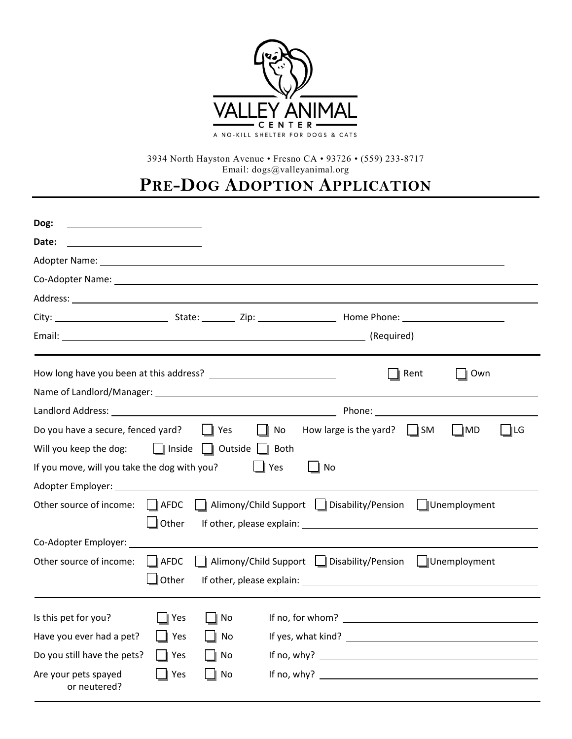

3934 North Hayston Avenue • Fresno CA • 93726 • (559) 233-8717 Email: dogs@valleyanimal.org

**PRE-DOG ADOPTION APPLICATION**

| Dog:<br><u> 1980 - Andrea Andrew Maria (h. 1980).</u>                                                                                                                                                                         |                                                                                  |                                                                                                                                                                                                                                |           |                                                                                                                                                                                                                                |      |                   |     |
|-------------------------------------------------------------------------------------------------------------------------------------------------------------------------------------------------------------------------------|----------------------------------------------------------------------------------|--------------------------------------------------------------------------------------------------------------------------------------------------------------------------------------------------------------------------------|-----------|--------------------------------------------------------------------------------------------------------------------------------------------------------------------------------------------------------------------------------|------|-------------------|-----|
| Date:                                                                                                                                                                                                                         |                                                                                  |                                                                                                                                                                                                                                |           |                                                                                                                                                                                                                                |      |                   |     |
| Adopter Name: The contract of the contract of the contract of the contract of the contract of the contract of the contract of the contract of the contract of the contract of the contract of the contract of the contract of |                                                                                  |                                                                                                                                                                                                                                |           |                                                                                                                                                                                                                                |      |                   |     |
| Co-Adopter Name: University of the Co-Adopter Name:                                                                                                                                                                           |                                                                                  |                                                                                                                                                                                                                                |           |                                                                                                                                                                                                                                |      |                   |     |
|                                                                                                                                                                                                                               |                                                                                  |                                                                                                                                                                                                                                |           |                                                                                                                                                                                                                                |      |                   |     |
|                                                                                                                                                                                                                               |                                                                                  |                                                                                                                                                                                                                                |           |                                                                                                                                                                                                                                |      |                   |     |
| Email: (Required) (Required)                                                                                                                                                                                                  |                                                                                  |                                                                                                                                                                                                                                |           |                                                                                                                                                                                                                                |      |                   |     |
|                                                                                                                                                                                                                               |                                                                                  |                                                                                                                                                                                                                                |           |                                                                                                                                                                                                                                | Rent | Own               |     |
|                                                                                                                                                                                                                               |                                                                                  |                                                                                                                                                                                                                                |           |                                                                                                                                                                                                                                |      |                   |     |
| Landlord Address: University of the Canada and Canada and Canada and Canada and Canada and Canada and Canada a                                                                                                                |                                                                                  |                                                                                                                                                                                                                                |           | Phone: 2008                                                                                                                                                                                                                    |      |                   |     |
| Do you have a secure, fenced yard?                                                                                                                                                                                            |                                                                                  | <b>Nome In Press</b><br>$\parallel$ No                                                                                                                                                                                         |           | How large is the yard? $\parallel$ SM                                                                                                                                                                                          |      | $\blacksquare$ MD | ∥LG |
| Will you keep the dog:                                                                                                                                                                                                        | $\ $ Inside                                                                      | Outside     Both                                                                                                                                                                                                               |           |                                                                                                                                                                                                                                |      |                   |     |
| If you move, will you take the dog with you?                                                                                                                                                                                  |                                                                                  |                                                                                                                                                                                                                                | Yes<br>No |                                                                                                                                                                                                                                |      |                   |     |
|                                                                                                                                                                                                                               |                                                                                  |                                                                                                                                                                                                                                |           |                                                                                                                                                                                                                                |      |                   |     |
| Other source of income:                                                                                                                                                                                                       | $\ \ $ AFDC                                                                      | Alimony/Child Support   Disability/Pension   Unemployment                                                                                                                                                                      |           |                                                                                                                                                                                                                                |      |                   |     |
|                                                                                                                                                                                                                               | $\Box$ Other                                                                     |                                                                                                                                                                                                                                |           |                                                                                                                                                                                                                                |      |                   |     |
| Co-Adopter Employer:                                                                                                                                                                                                          |                                                                                  |                                                                                                                                                                                                                                |           |                                                                                                                                                                                                                                |      |                   |     |
| Other source of income:                                                                                                                                                                                                       | Alimony/Child Support   Disability/Pension   Unemployment<br>$\blacksquare$ AFDC |                                                                                                                                                                                                                                |           |                                                                                                                                                                                                                                |      |                   |     |
|                                                                                                                                                                                                                               | $\Box$ Other                                                                     | If other, please explain: The above and the set of the set of the set of the set of the set of the set of the set of the set of the set of the set of the set of the set of the set of the set of the set of the set of the se |           |                                                                                                                                                                                                                                |      |                   |     |
| Is this pet for you?                                                                                                                                                                                                          | Yes                                                                              | No                                                                                                                                                                                                                             |           |                                                                                                                                                                                                                                |      |                   |     |
| Have you ever had a pet?                                                                                                                                                                                                      | Yes                                                                              | No                                                                                                                                                                                                                             |           | If yes, what kind? The same state of the state of the state of the state of the state of the state of the state of the state of the state of the state of the state of the state of the state of the state of the state of the |      |                   |     |
| Do you still have the pets?                                                                                                                                                                                                   | Yes                                                                              | No                                                                                                                                                                                                                             |           |                                                                                                                                                                                                                                |      |                   |     |
| Are your pets spayed<br>or neutered?                                                                                                                                                                                          | Yes                                                                              | No                                                                                                                                                                                                                             |           |                                                                                                                                                                                                                                |      |                   |     |